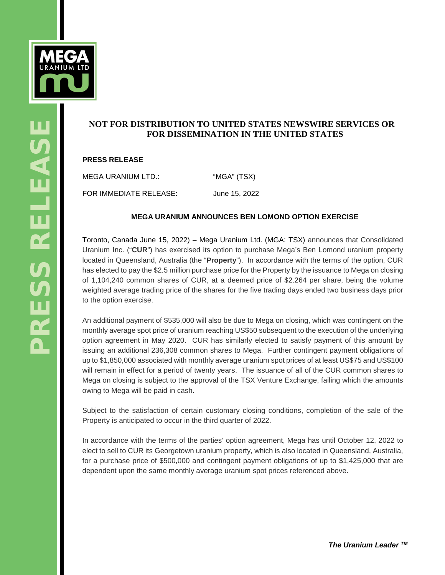

# **NOT FOR DISTRIBUTION TO UNITED STATES NEWSWIRE SERVICES OR FOR DISSEMINATION IN THE UNITED STATES**

## **PRESS RELEASE**

MEGA URANIUM LTD.: "MGA" (TSX) FOR IMMEDIATE RELEASE: June 15, 2022

### **MEGA URANIUM ANNOUNCES BEN LOMOND OPTION EXERCISE**

Toronto, Canada June 15, 2022) – Mega Uranium Ltd. (MGA: TSX) announces that Consolidated Uranium Inc. ("**CUR**") has exercised its option to purchase Mega's Ben Lomond uranium property located in Queensland, Australia (the "**Property**"). In accordance with the terms of the option, CUR has elected to pay the \$2.5 million purchase price for the Property by the issuance to Mega on closing of 1,104,240 common shares of CUR, at a deemed price of \$2.264 per share, being the volume weighted average trading price of the shares for the five trading days ended two business days prior to the option exercise.

An additional payment of \$535,000 will also be due to Mega on closing, which was contingent on the monthly average spot price of uranium reaching US\$50 subsequent to the execution of the underlying option agreement in May 2020. CUR has similarly elected to satisfy payment of this amount by issuing an additional 236,308 common shares to Mega. Further contingent payment obligations of up to \$1,850,000 associated with monthly average uranium spot prices of at least US\$75 and US\$100 will remain in effect for a period of twenty years. The issuance of all of the CUR common shares to Mega on closing is subject to the approval of the TSX Venture Exchange, failing which the amounts owing to Mega will be paid in cash.

Subject to the satisfaction of certain customary closing conditions, completion of the sale of the Property is anticipated to occur in the third quarter of 2022.

In accordance with the terms of the parties' option agreement, Mega has until October 12, 2022 to elect to sell to CUR its Georgetown uranium property, which is also located in Queensland, Australia, for a purchase price of \$500,000 and contingent payment obligations of up to \$1,425,000 that are dependent upon the same monthly average uranium spot prices referenced above.